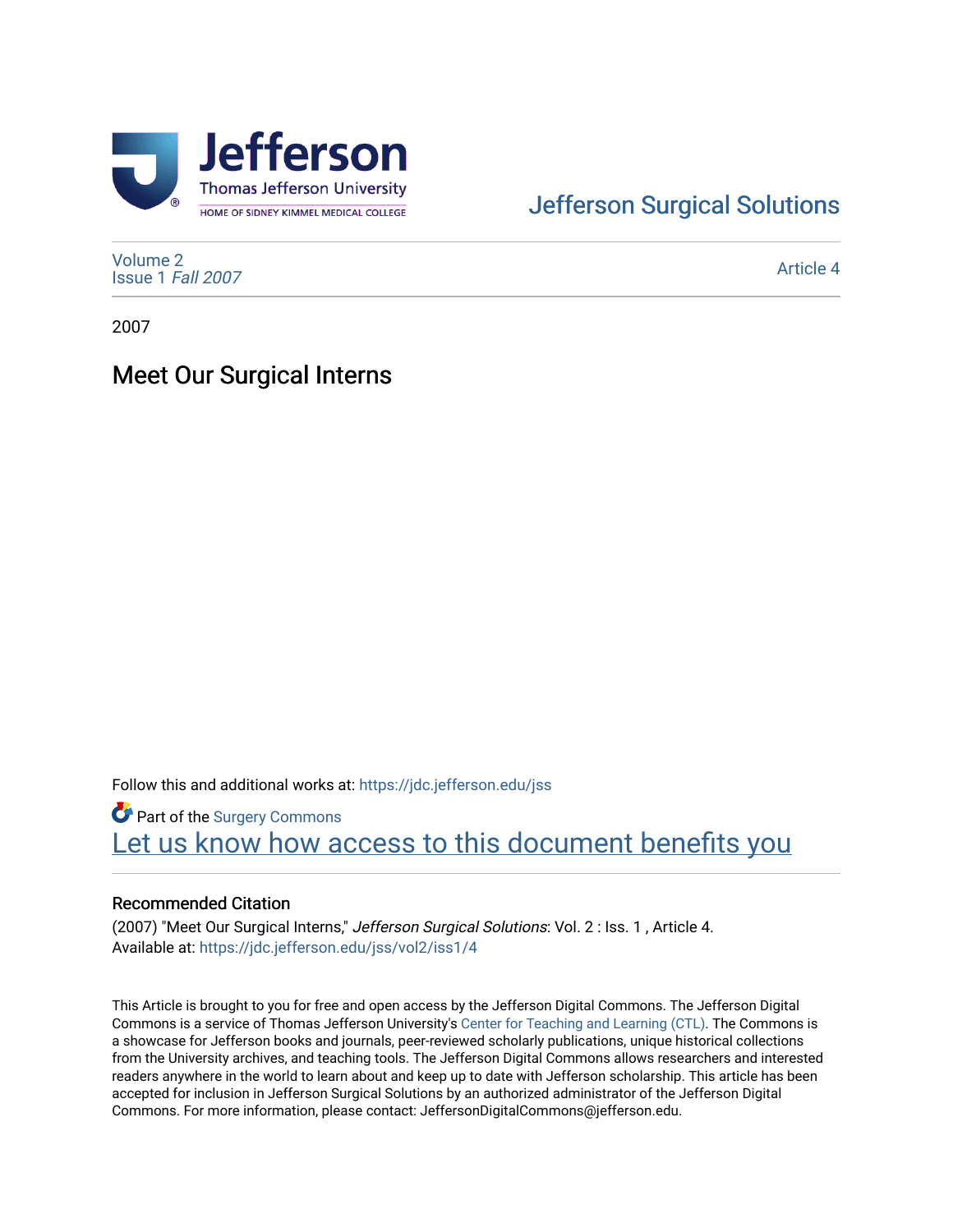

# [Jefferson Surgical Solutions](https://jdc.jefferson.edu/jss)

[Volume 2](https://jdc.jefferson.edu/jss/vol2) [Issue 1](https://jdc.jefferson.edu/jss/vol2/iss1) Fall 2007

[Article 4](https://jdc.jefferson.edu/jss/vol2/iss1/4) 

2007

## Meet Our Surgical Interns

Follow this and additional works at: [https://jdc.jefferson.edu/jss](https://jdc.jefferson.edu/jss?utm_source=jdc.jefferson.edu%2Fjss%2Fvol2%2Fiss1%2F4&utm_medium=PDF&utm_campaign=PDFCoverPages) 

**Part of the Surgery Commons** Let us know how access to this document benefits you

#### Recommended Citation

(2007) "Meet Our Surgical Interns," Jefferson Surgical Solutions: Vol. 2 : Iss. 1, Article 4. Available at: [https://jdc.jefferson.edu/jss/vol2/iss1/4](https://jdc.jefferson.edu/jss/vol2/iss1/4?utm_source=jdc.jefferson.edu%2Fjss%2Fvol2%2Fiss1%2F4&utm_medium=PDF&utm_campaign=PDFCoverPages) 

This Article is brought to you for free and open access by the Jefferson Digital Commons. The Jefferson Digital Commons is a service of Thomas Jefferson University's [Center for Teaching and Learning \(CTL\)](http://www.jefferson.edu/university/teaching-learning.html/). The Commons is a showcase for Jefferson books and journals, peer-reviewed scholarly publications, unique historical collections from the University archives, and teaching tools. The Jefferson Digital Commons allows researchers and interested readers anywhere in the world to learn about and keep up to date with Jefferson scholarship. This article has been accepted for inclusion in Jefferson Surgical Solutions by an authorized administrator of the Jefferson Digital Commons. For more information, please contact: JeffersonDigitalCommons@jefferson.edu.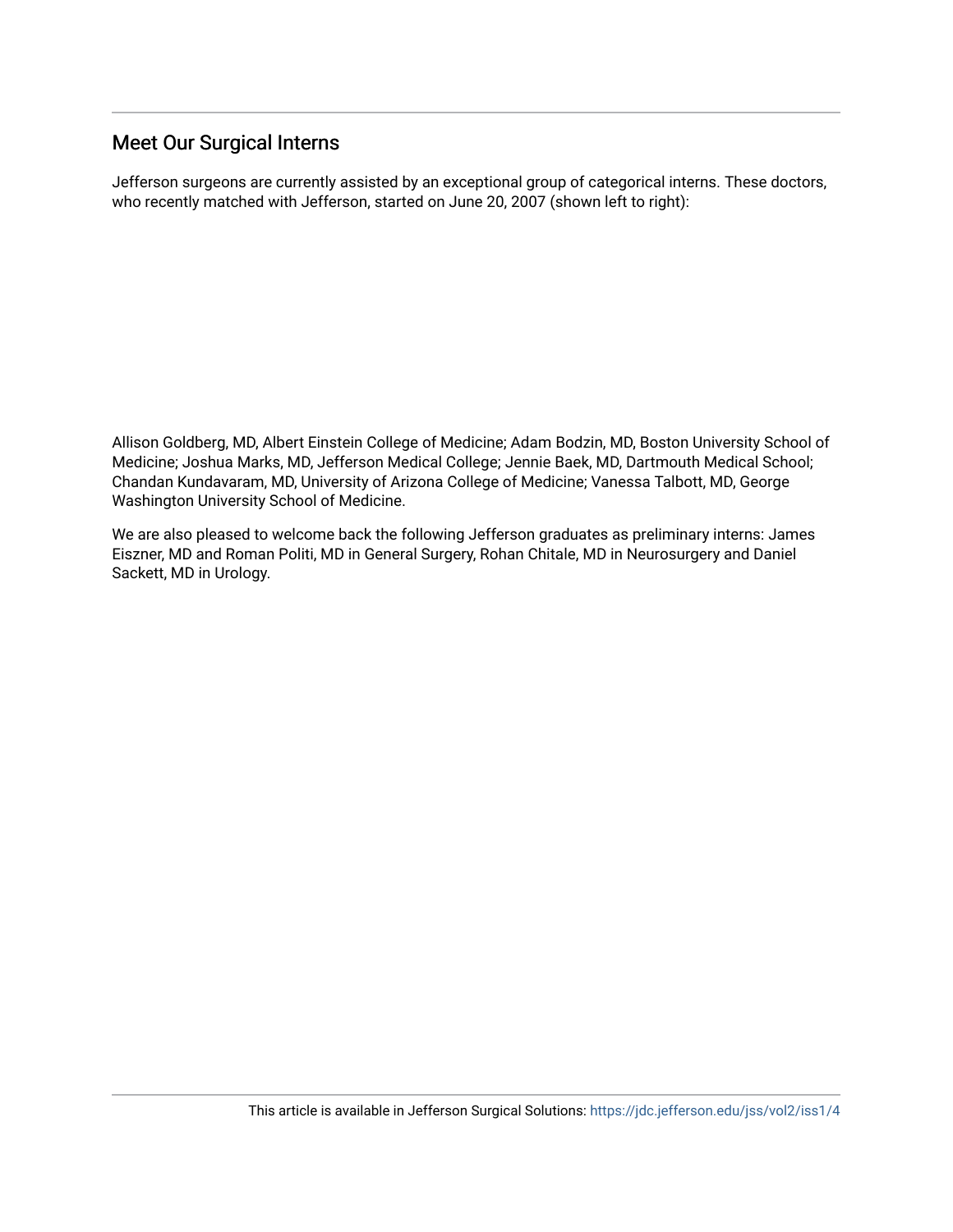## Meet Our Surgical Interns

Jefferson surgeons are currently assisted by an exceptional group of categorical interns. These doctors, who recently matched with Jefferson, started on June 20, 2007 (shown left to right):

Allison Goldberg, MD, Albert Einstein College of Medicine; Adam Bodzin, MD, Boston University School of Medicine; Joshua Marks, MD, Jefferson Medical College; Jennie Baek, MD, Dartmouth Medical School; Chandan Kundavaram, MD, University of Arizona College of Medicine; Vanessa Talbott, MD, George Washington University School of Medicine.

We are also pleased to welcome back the following Jefferson graduates as preliminary interns: James Eiszner, MD and Roman Politi, MD in General Surgery, Rohan Chitale, MD in Neurosurgery and Daniel Sackett, MD in Urology.